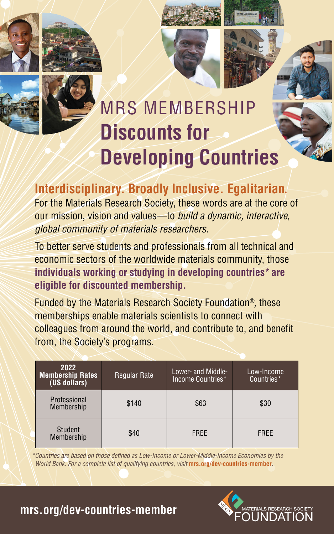







# MRS MEMBERSHIP **Discounts for Developing Countries**

### **Interdisciplinary. Broadly Inclusive. Egalitarian.**

For the Materials Research Society, these words are at the core of our mission, vision and values—to *build a dynamic, interactive, global community of materials researchers.*

To better serve students and professionals from all technical and economic sectors of the worldwide materials community, those **individuals working or studying in developing countries\* are eligible for discounted membership.**

Funded by the Materials Research Society Foundation®*,* these memberships enable materials scientists to connect with colleagues from around the world, and contribute to, and benefit from, the Society's programs.

| 2022<br>Membership Rates<br>(US dollars) | <b>Regular Rate</b> | Lower- and Middle-<br>Income Countries* | Low-Income<br>Countries* |
|------------------------------------------|---------------------|-----------------------------------------|--------------------------|
| Professional<br>Membership               | \$140               | \$63                                    | \$30                     |
| <b>Student</b><br>Membership             | \$40                | <b>FREE</b>                             | <b>FREE</b>              |

*\*Countries are based on those defined as Low-Income or Lower-Middle-Income Economies by the World Bank. For a complete list of qualifying countries, visit* **mrs.org/dev-countries-member***.*



#### **mrs.org/dev-countries-member**